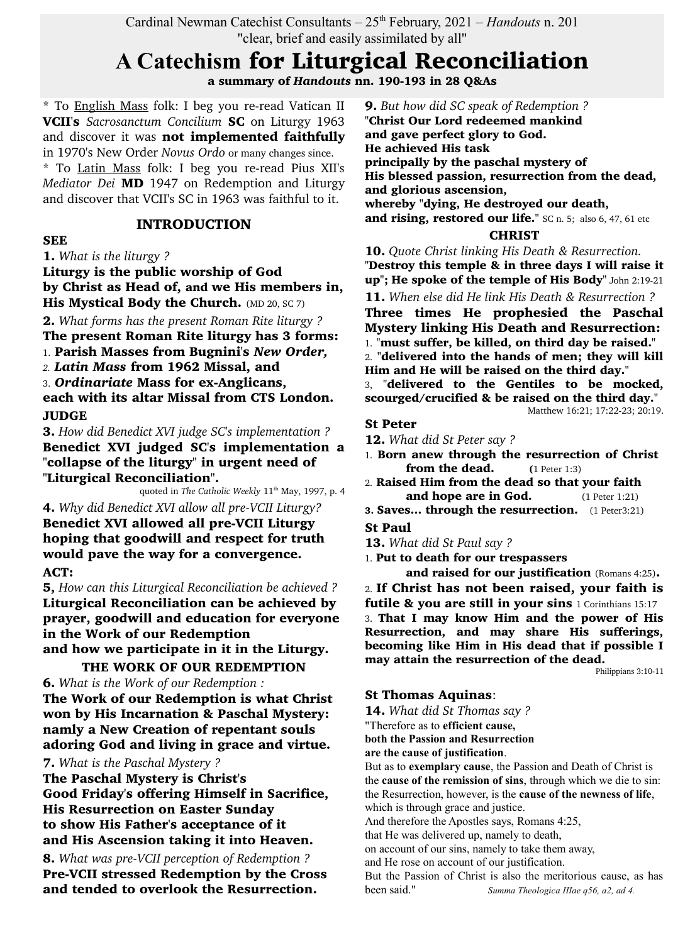Cardinal Newman Catechist Consultants –  $25<sup>th</sup>$  February, 2021 – *Handouts* n. 201 "clear, brief and easily assimilated by all"

# **A Catechism** for Liturgical Reconciliation

a summary of *Handouts* nn. 190-193 in 28 Q&As

\* To English Mass folk: I beg you re-read Vatican II VCII's *Sacrosanctum Concilium* SC on Liturgy 1963 and discover it was not implemented faithfully in 1970's New Order *Novus Ordo* or many changes since.

\* To Latin Mass folk: I beg you re-read Pius XII's *Mediator Dei* MD 1947 on Redemption and Liturgy and discover that VCII's SC in 1963 was faithful to it.

## INTRODUCTION

#### **SEE**

1. *What is the liturgy ?*

Liturgy is the public worship of God by Christ as Head of, and we His members in, His Mystical Body the Church. (MD 20, SC 7)

2. *What forms has the present Roman Rite liturgy ?* The present Roman Rite liturgy has 3 forms:

1. Parish Masses from Bugnini's *New Order,*

*2. Latin Mass* from 1962 Missal, and

3. *Ordinariate* Mass for ex-Anglicans, each with its altar Missal from CTS London. JUDGE

3. *How did Benedict XVI judge SC's implementation ?* Benedict XVI judged SC's implementation a "collapse of the liturgy" in urgent need of "Liturgical Reconciliation".

quoted in *The Catholic Weekly* 11<sup>th</sup> May, 1997, p. 4

4. *Why did Benedict XVI allow all pre-VCII Liturgy?* Benedict XVI allowed all pre-VCII Liturgy hoping that goodwill and respect for truth would pave the way for a convergence. ACT:

5, *How can this Liturgical Reconciliation be achieved ?* Liturgical Reconciliation can be achieved by prayer, goodwill and education for everyone in the Work of our Redemption and how we participate in it in the Liturgy.

THE WORK OF OUR REDEMPTION 6. *What is the Work of our Redemption :* The Work of our Redemption is what Christ won by His Incarnation & Paschal Mystery: namly a New Creation of repentant souls adoring God and living in grace and virtue.

## 7. *What is the Paschal Mystery ?*

The Paschal Mystery is Christ's Good Friday's offering Himself in Sacrifice, His Resurrection on Easter Sunday to show His Father's acceptance of it and His Ascension taking it into Heaven.

8. *What was pre-VCII perception of Redemption ?* Pre-VCII stressed Redemption by the Cross and tended to overlook the Resurrection.

9. *But how did SC speak of Redemption ?* "Christ Our Lord redeemed mankind and gave perfect glory to God. He achieved His task principally by the paschal mystery of His blessed passion, resurrection from the dead, and glorious ascension, whereby "dying, He destroyed our death, and rising, restored our life." SC n. 5; also 6, 47, 61 etc

## **CHRIST**

10. *Quote Christ linking His Death & Resurrection.* "Destroy this temple & in three days I will raise it up"; He spoke of the temple of His Body" John 2:19-21 11. *When else did He link His Death & Resurrection ?* Three times He prophesied the Paschal Mystery linking His Death and Resurrection: 1. "must suffer, be killed, on third day be raised." 2. "delivered into the hands of men; they will kill Him and He will be raised on the third day." 3, "delivered to the Gentiles to be mocked, scourged/crucified & be raised on the third day." Matthew 16:21; 17:22-23; 20:19.

#### St Peter

12. *What did St Peter say ?*

- 1. Born anew through the resurrection of Christ **from the dead.** (1 Peter 1:3)
- 2. Raised Him from the dead so that your faith **and hope are in God.** (1 Peter 1:21)
- 3. Saves... through the resurrection. (1 Peter3:21)

## St Paul

13. *What did St Paul say ?*

1. Put to death for our trespassers

and raised for our justification (Romans 4:25). 2. If Christ has not been raised, your faith is futile & you are still in your sins 1 Corinthians 15:17 3. That I may know Him and the power of His Resurrection, and may share His sufferings, becoming like Him in His dead that if possible I may attain the resurrection of the dead.

Philippians 3:10-11

## St Thomas Aquinas:

14. *What did St Thomas say ?* "Therefore as to **efficient cause,**

**both the Passion and Resurrection**

**are the cause of justification**.

But as to **exemplary cause**, the Passion and Death of Christ is the **cause of the remission of sins**, through which we die to sin: the Resurrection, however, is the **cause of the newness of life**, which is through grace and justice.

And therefore the Apostles says, Romans 4:25,

that He was delivered up, namely to death,

on account of our sins, namely to take them away,

and He rose on account of our justification.

But the Passion of Christ is also the meritorious cause, as has been said." *Summa Theologica IIIae q56, a2, ad 4.*